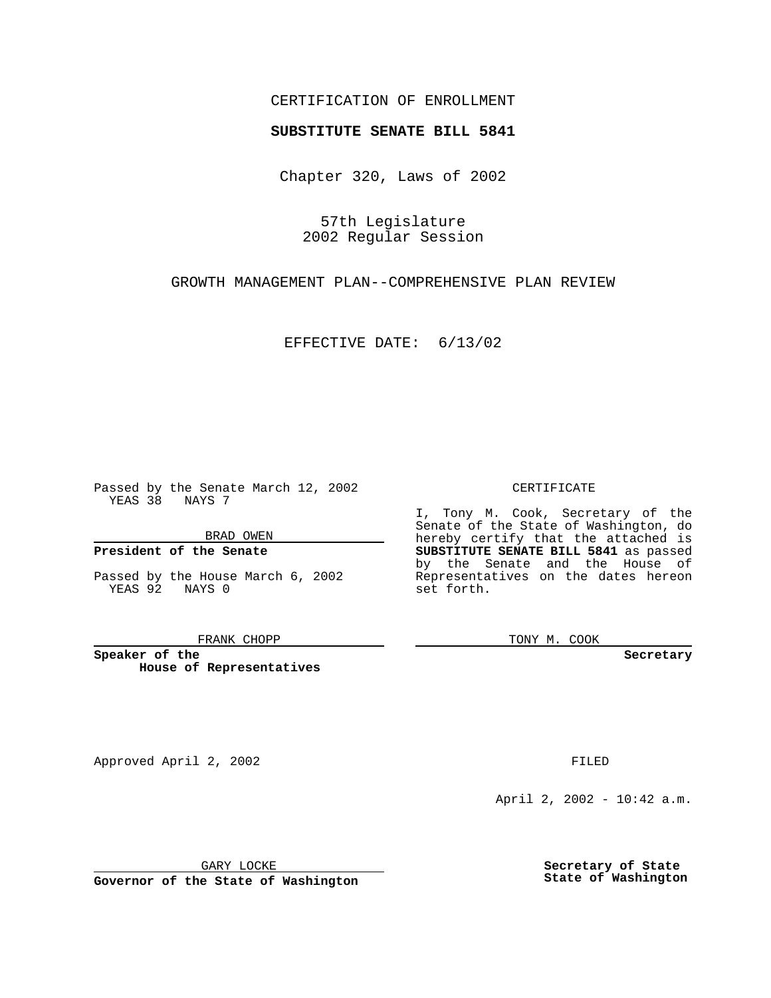## CERTIFICATION OF ENROLLMENT

# **SUBSTITUTE SENATE BILL 5841**

Chapter 320, Laws of 2002

57th Legislature 2002 Regular Session

GROWTH MANAGEMENT PLAN--COMPREHENSIVE PLAN REVIEW

EFFECTIVE DATE: 6/13/02

Passed by the Senate March 12, 2002 YEAS 38 NAYS 7

BRAD OWEN

## **President of the Senate**

Passed by the House March 6, 2002 YEAS 92 NAYS 0

#### FRANK CHOPP

**Speaker of the House of Representatives** CERTIFICATE

I, Tony M. Cook, Secretary of the Senate of the State of Washington, do hereby certify that the attached is **SUBSTITUTE SENATE BILL 5841** as passed by the Senate and the House of Representatives on the dates hereon set forth.

TONY M. COOK

**Secretary**

Approved April 2, 2002 **FILED** 

April 2, 2002 - 10:42 a.m.

GARY LOCKE

**Governor of the State of Washington**

**Secretary of State State of Washington**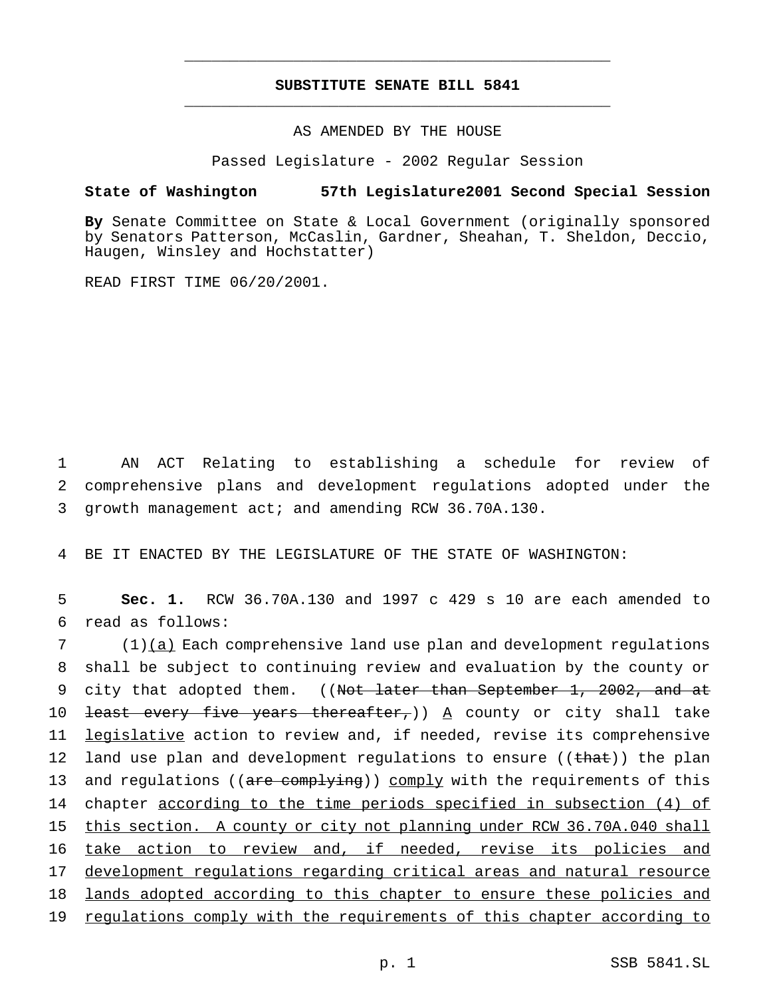## **SUBSTITUTE SENATE BILL 5841** \_\_\_\_\_\_\_\_\_\_\_\_\_\_\_\_\_\_\_\_\_\_\_\_\_\_\_\_\_\_\_\_\_\_\_\_\_\_\_\_\_\_\_\_\_\_\_

\_\_\_\_\_\_\_\_\_\_\_\_\_\_\_\_\_\_\_\_\_\_\_\_\_\_\_\_\_\_\_\_\_\_\_\_\_\_\_\_\_\_\_\_\_\_\_

## AS AMENDED BY THE HOUSE

Passed Legislature - 2002 Regular Session

### **State of Washington 57th Legislature2001 Second Special Session**

**By** Senate Committee on State & Local Government (originally sponsored by Senators Patterson, McCaslin, Gardner, Sheahan, T. Sheldon, Deccio, Haugen, Winsley and Hochstatter)

READ FIRST TIME 06/20/2001.

1 AN ACT Relating to establishing a schedule for review of 2 comprehensive plans and development regulations adopted under the 3 growth management act; and amending RCW 36.70A.130.

4 BE IT ENACTED BY THE LEGISLATURE OF THE STATE OF WASHINGTON:

5 **Sec. 1.** RCW 36.70A.130 and 1997 c 429 s 10 are each amended to 6 read as follows:

7 (1)(a) Each comprehensive land use plan and development regulations 8 shall be subject to continuing review and evaluation by the county or 9 city that adopted them. ((Not later than September 1, 2002, and at 10 <del>least every five years thereafter,</del>))  $A$  county or city shall take 11 <u>legislative</u> action to review and, if needed, revise its comprehensive 12 land use plan and development regulations to ensure ((that)) the plan 13 and regulations ((are complying)) comply with the requirements of this 14 chapter according to the time periods specified in subsection (4) of 15 this section. A county or city not planning under RCW 36.70A.040 shall 16 take action to review and, if needed, revise its policies and 17 development regulations regarding critical areas and natural resource 18 lands adopted according to this chapter to ensure these policies and 19 regulations comply with the requirements of this chapter according to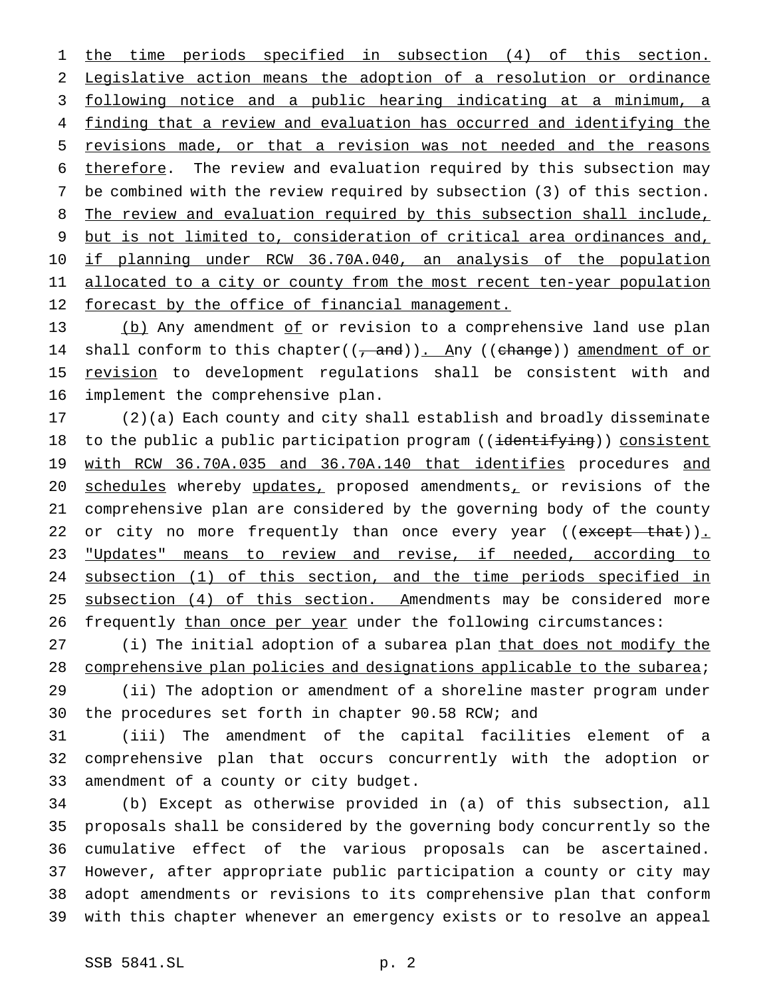the time periods specified in subsection (4) of this section. Legislative action means the adoption of a resolution or ordinance following notice and a public hearing indicating at a minimum, a finding that a review and evaluation has occurred and identifying the revisions made, or that a revision was not needed and the reasons therefore. The review and evaluation required by this subsection may be combined with the review required by subsection (3) of this section. 8 The review and evaluation required by this subsection shall include, but is not limited to, consideration of critical area ordinances and, if planning under RCW 36.70A.040, an analysis of the population 11 allocated to a city or county from the most recent ten-year population 12 forecast by the office of financial management.

13 (b) Any amendment of or revision to a comprehensive land use plan 14 shall conform to this chapter((, and)). Any ((change)) amendment of or 15 revision to development regulations shall be consistent with and implement the comprehensive plan.

 (2)(a) Each county and city shall establish and broadly disseminate 18 to the public a public participation program ((identifying)) consistent 19 with RCW 36.70A.035 and 36.70A.140 that identifies procedures and 20 schedules whereby updates, proposed amendments, or revisions of the comprehensive plan are considered by the governing body of the county 22 or city no more frequently than once every year ((except that)). 23 "Updates" means to review and revise, if needed, according to 24 subsection (1) of this section, and the time periods specified in 25 subsection (4) of this section. Amendments may be considered more 26 frequently than once per year under the following circumstances:

 (i) The initial adoption of a subarea plan that does not modify the comprehensive plan policies and designations applicable to the subarea; (ii) The adoption or amendment of a shoreline master program under the procedures set forth in chapter 90.58 RCW; and

 (iii) The amendment of the capital facilities element of a comprehensive plan that occurs concurrently with the adoption or amendment of a county or city budget.

 (b) Except as otherwise provided in (a) of this subsection, all proposals shall be considered by the governing body concurrently so the cumulative effect of the various proposals can be ascertained. However, after appropriate public participation a county or city may adopt amendments or revisions to its comprehensive plan that conform with this chapter whenever an emergency exists or to resolve an appeal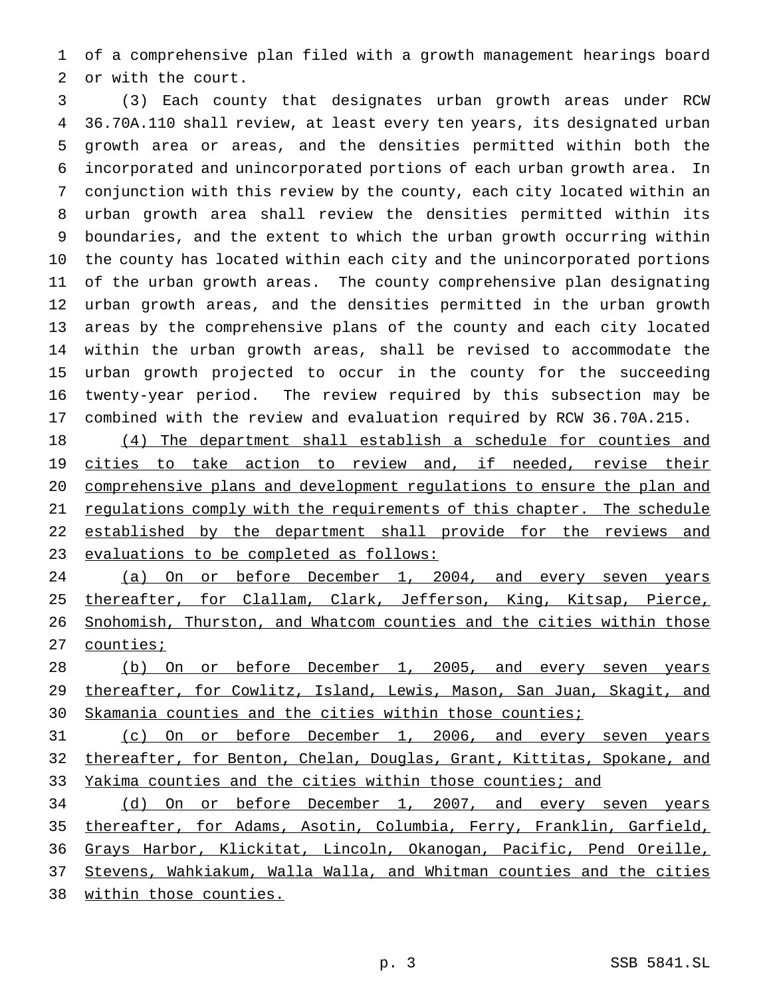of a comprehensive plan filed with a growth management hearings board or with the court.

 (3) Each county that designates urban growth areas under RCW 36.70A.110 shall review, at least every ten years, its designated urban growth area or areas, and the densities permitted within both the incorporated and unincorporated portions of each urban growth area. In conjunction with this review by the county, each city located within an urban growth area shall review the densities permitted within its boundaries, and the extent to which the urban growth occurring within the county has located within each city and the unincorporated portions of the urban growth areas. The county comprehensive plan designating urban growth areas, and the densities permitted in the urban growth areas by the comprehensive plans of the county and each city located within the urban growth areas, shall be revised to accommodate the urban growth projected to occur in the county for the succeeding twenty-year period. The review required by this subsection may be combined with the review and evaluation required by RCW 36.70A.215.

 (4) The department shall establish a schedule for counties and 19 cities to take action to review and, if needed, revise their comprehensive plans and development regulations to ensure the plan and 21 regulations comply with the requirements of this chapter. The schedule 22 established by the department shall provide for the reviews and evaluations to be completed as follows:

24 (a) On or before December 1, 2004, and every seven years 25 thereafter, for Clallam, Clark, Jefferson, King, Kitsap, Pierce, Snohomish, Thurston, and Whatcom counties and the cities within those 27 counties;

28 (b) On or before December 1, 2005, and every seven years 29 thereafter, for Cowlitz, Island, Lewis, Mason, San Juan, Skagit, and Skamania counties and the cities within those counties;

 (c) On or before December 1, 2006, and every seven years 32 thereafter, for Benton, Chelan, Douglas, Grant, Kittitas, Spokane, and 33 Yakima counties and the cities within those counties; and

 (d) On or before December 1, 2007, and every seven years thereafter, for Adams, Asotin, Columbia, Ferry, Franklin, Garfield, Grays Harbor, Klickitat, Lincoln, Okanogan, Pacific, Pend Oreille, Stevens, Wahkiakum, Walla Walla, and Whitman counties and the cities within those counties.